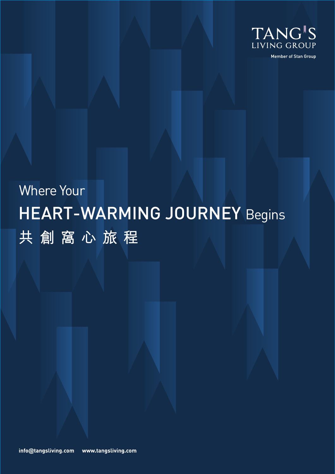

Member of Stan Group

# HEART-WARMING JOURNEY Begins Where Your **共創窩心旅程**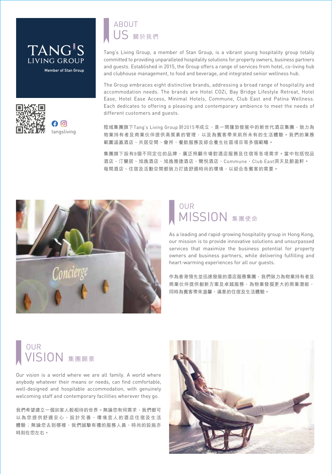



## 關於我們 US ABOUT

Tang's Living Group, a member of Stan Group, is a vibrant young hospitality group totally committed to providing unparalleled hospitality solutions for property owners, business partners and guests. Established in 2015, the Group offers a range of services from hotel, co-living hub and clubhouse management, to food and beverage, and integrated senior wellness hub.

The Group embraces eight distinctive brands, addressing a broad range of hospitality and accommodation needs. The brands are Hotel COZi, Bay Bridge Lifestyle Retreat, Hotel Ease, Hotel Ease Access, Minimal Hotels, Commune, Club East and Patina Wellness. Each dedicates to offering a pleasing and contemporary ambience to meet the needs of different customers and guests.

陞域集團旗下Tang's Living Group 於2015年成立,是一間蓬勃發展中的新世代酒店集團,致力為 物業持有者及商業伙伴提供高質素的管理,以及為賓客帶來前所未有的生活體驗。我們的業務 範圍涵蓋酒店、共居空間、會所、餐飲服務及綜合養生社區項目等多個範疇。

集團旗下設有8個不同定位的品牌,廣泛照顧市場對酒店服務及住宿等各項需求。當中包括悦品 酒店、汀蘭居、旭逸酒店、旭逸雅捷酒店、簡悅酒店、Commune、Club East洞天及蔚盈軒。 每間酒店、住宿及活動空間都致力打造舒適時尚的環境,以迎合各賓客的需要。



### **MISSION** 集團使命 **OUR**

As a leading and rapid-growing hospitality group in Hong Kong, our mission is to provide innovative solutions and unsurpassed services that maximize the business potential for property owners and business partners, while delivering fulfilling and heart-warming experiences for all our guests.

作為香港領先並迅速發展的酒店服務集團,我們致力為物業持有者及 商業伙伴提供創新方案及卓越服務,為物業發掘更大的商業潛能, 同時為賓客帶來溫馨、滿意的住宿及生活體驗。

## VISION 集團願景 **OUR**

Our vision is a world where we are all family. A world where anybody whatever their means or needs, can find comfortable, well-designed and hospitable accommodation, with genuinely welcoming staff and contemporary facilities wherever they go.

我們希望建立一個如家人般相待的世界。無論您有何需求,我們都可 以為您提供舒適安心、設計完善、環境宜人的酒店住宿及生活 體驗;無論您去到哪裡,我們誠墊有禮的服務人員、時尚的設施亦 時刻在您左右。

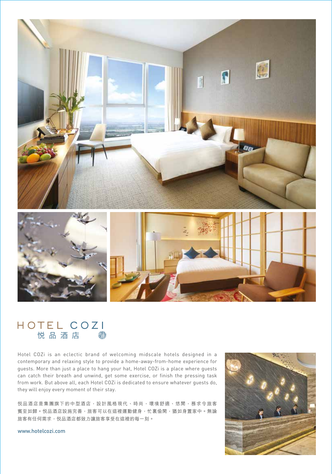

# HOTEL COZI<br>悦品酒店

Hotel COZi is an eclectic brand of welcoming midscale hotels designed in a contemporary and relaxing style to provide a home-away-from-home experience for guests. More than just a place to hang your hat, Hotel COZi is a place where guests can catch their breath and unwind, get some exercise, or finish the pressing task from work. But above all, each Hotel COZi is dedicated to ensure whatever guests do, they will enjoy every moment of their stay.

悦品酒店是集團旗下的中型酒店,設計風格現代、時尚,環境舒適、悠閒,務求令旅客 賓至如歸。悦品酒店設施完善,旅客可以在這裡運動健身,忙裏偷閑,猶如身置家中。無論 旅客有任何需求,悦品酒店都致力讓旅客享受在這裡的每一刻。



www.hotelcozi.com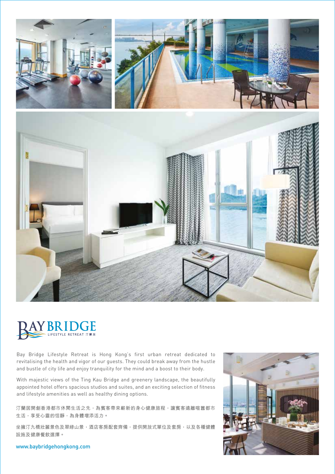



Bay Bridge Lifestyle Retreat is Hong Kong's first urban retreat dedicated to revitalising the health and vigor of our guests. They could break away from the hustle and bustle of city life and enjoy tranquility for the mind and a boost to their body.

With majestic views of the Ting Kau Bridge and greenery landscape, the beautifully appointed hotel offers spacious studios and suites, and an exciting selection of fitness and lifestyle amenities as well as healthy dining options.

汀蘭居開創香港都市休閒生活之先,為賓客帶來嶄新的身心健康旅程,讓賓客遠離喧囂都市 生活,享受心靈的恬靜,為身體增添活力。

坐擁汀九橋壯麗景色及翠綠山景,酒店客房配套齊備,提供開放式單位及套房,以及各種健體 設施及健康餐飲選擇。

### www.baybridgehongkong.com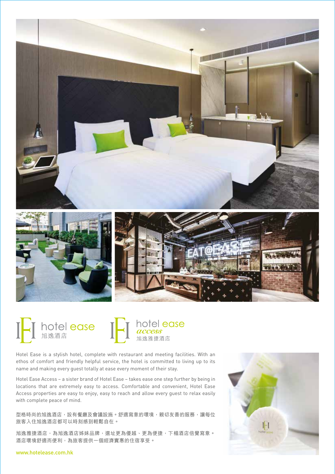







hotel ease access 旭逸雅捷酒店

Hotel Ease is a stylish hotel, complete with restaurant and meeting facilities. With an ethos of comfort and friendly helpful service, the hotel is committed to living up to its name and making every guest totally at ease every moment of their stay.

Hotel Ease Access – a sister brand of Hotel Ease – takes ease one step further by being in locations that are extremely easy to access. Comfortable and convenient, Hotel Ease Access properties are easy to enjoy, easy to reach and allow every guest to relax easily with complete peace of mind.

型格時尚的旭逸酒店,設有餐廳及會議設施。舒適寫意的環境,親切友善的服務,讓每位 旅客入住旭逸酒店都可以時刻感到輕鬆自在。

旭逸雅捷酒店,為旭逸酒店姊妹品牌,選址更為優越、更為便捷,下榻酒店倍覺寫意。 酒店環境舒適而便利,為旅客提供一個經濟實惠的住宿享受。



#### www.hotelease.com.hk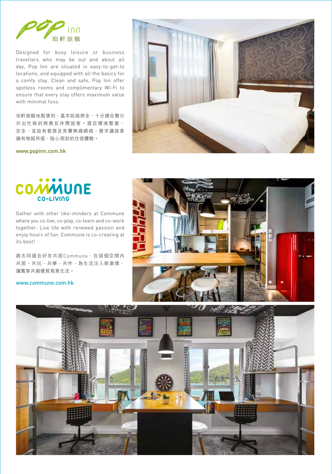

Designed for busy leisure or business travellers who may be out and about all day, Pop Inn are situated in easy-to-get-to locations, and equipped with all the basics for a comfy stay. Clean and safe, Pop Inn offer spotless rooms and complimentary Wi-Fi to ensure that every stay offers maximum value with minimal fuss.

珀軒旅館地點便利,基本設施齊全,十分適合整日 外出忙碌的商務及休閒旅客。酒店環境整潔、 安全,並設有套房及免費無線網絡,務求讓旅客 擁有物超所值、貼心周到的住宿體驗。



www.popinn.com.hk



Gather with other like-minders at Commune where you co-live, co-play, co-learn and co-work together. Live life with renewed passion and enjoy hours of fun. Commune is co-creating at its best!

跟志同道合好友共居Commune,在這個空間內 共居、共玩、共學、共作,為生活注入新激情, 讓賓客共創優質寫意生活。

www.commune.com.hk



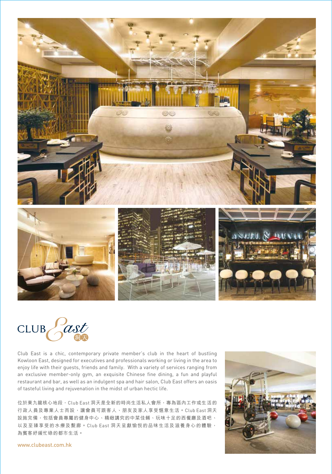

Past CLUB

Club East is a chic, contemporary private member's club in the heart of bustling Kowloon East, designed for executives and professionals working or living in the area to enjoy life with their guests, friends and family. With a variety of services ranging from an exclusive member-only gym, an exquisite Chinese fine dining, a fun and playful restaurant and bar, as well as an indulgent spa and hair salon, Club East offers an oasis of tasteful living and rejuvenation in the midst of urban hectic life.

位於東九龍核心地段,Club East 洞天是全新的時尚生活私人會所,專為區內工作或生活的 行政人員及專業人士而設,讓會員可跟客人、朋友及家人享受愜意生活。Club East 洞天 設施完備,包括會員專屬的健身中心、精緻講究的中菜佳餚、玩味十足的西餐廳及酒吧、 以及至臻享受的水療及髮廊。Club East 洞天呈獻愉悅的品味生活及滋養身心的體驗, 為賓客紓緩忙碌的都市生活。



www.clubeast.com.hk